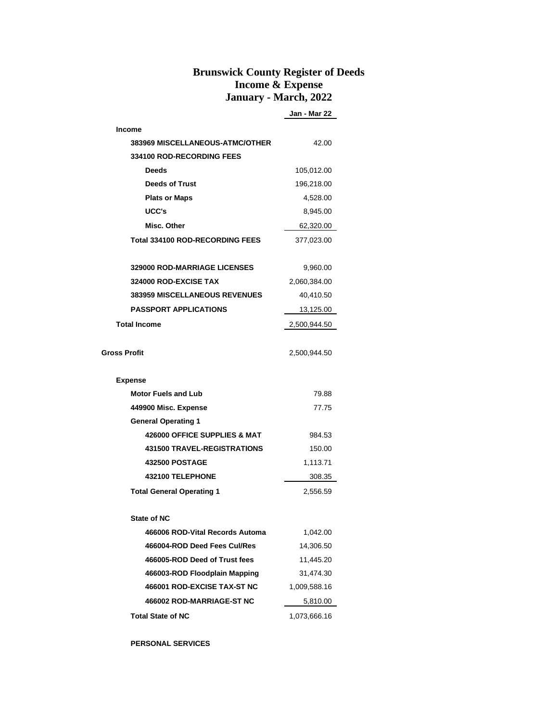## **Brunswick County Register of Deeds Income & Expense January - March, 2022**

**Jan - Mar 22**

| <b>Income</b>                          |              |
|----------------------------------------|--------------|
| 383969 MISCELLANEOUS-ATMC/OTHER        | 42.00        |
| 334100 ROD-RECORDING FEES              |              |
| <b>Deeds</b>                           | 105,012.00   |
| <b>Deeds of Trust</b>                  | 196,218.00   |
| <b>Plats or Maps</b>                   | 4,528.00     |
| UCC's                                  | 8,945.00     |
| Misc. Other                            | 62,320.00    |
| <b>Total 334100 ROD-RECORDING FEES</b> | 377,023.00   |
| <b>329000 ROD-MARRIAGE LICENSES</b>    | 9,960.00     |
| 324000 ROD-EXCISE TAX                  | 2,060,384.00 |
| <b>383959 MISCELLANEOUS REVENUES</b>   | 40,410.50    |
| <b>PASSPORT APPLICATIONS</b>           | 13,125.00    |
| <b>Total Income</b>                    | 2,500,944.50 |
|                                        |              |
| Gross Profit                           | 2,500,944.50 |
| <b>Expense</b>                         |              |
| <b>Motor Fuels and Lub</b>             | 79.88        |
| 449900 Misc. Expense<br>77.75          |              |
| <b>General Operating 1</b>             |              |
| 426000 OFFICE SUPPLIES & MAT           | 984.53       |
| <b>431500 TRAVEL-REGISTRATIONS</b>     | 150.00       |
| <b>432500 POSTAGE</b>                  | 1,113.71     |
| 432100 TELEPHONE                       | 308.35       |
| <b>Total General Operating 1</b>       | 2,556.59     |
| <b>State of NC</b>                     |              |
| 466006 ROD-Vital Records Automa        | 1,042.00     |
| 466004-ROD Deed Fees Cul/Res           | 14,306.50    |
| 466005-ROD Deed of Trust fees          | 11,445.20    |
| 466003-ROD Floodplain Mapping          | 31,474.30    |
| 466001 ROD-EXCISE TAX-ST NC            | 1,009,588.16 |
| 466002 ROD-MARRIAGE-ST NC              | 5,810.00     |
| <b>Total State of NC</b>               | 1,073,666.16 |

**PERSONAL SERVICES**